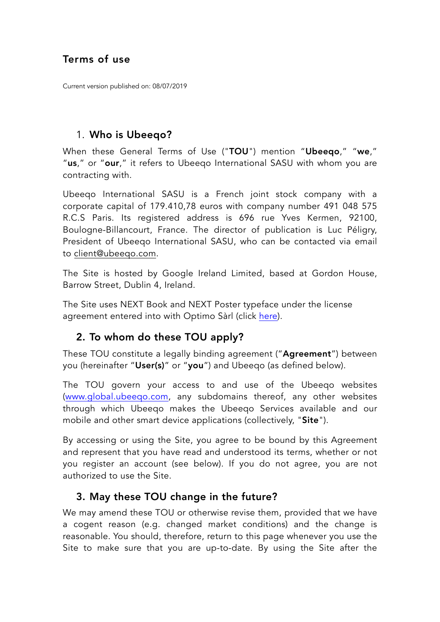### Terms of use

Current version published on: 08/07/2019

#### 1. Who is Ubeeqo?

When these General Terms of Use ("TOU") mention "Ubeeqo," "we," "us," or "our," it refers to Ubeeqo International SASU with whom you are contracting with.

Ubeeqo International SASU is a French joint stock company with a corporate capital of 179.410,78 euros with company number 491 048 575 R.C.S Paris. Its registered address is 696 rue Yves Kermen, 92100, Boulogne-Billancourt, France. The director of publication is Luc Péligry, President of Ubeeqo International SASU, who can be contacted via email to [client@ubeeqo.com](mailto:client@ubeeqo.com).

The Site is hosted by Google Ireland Limited, based at Gordon House, Barrow Street, Dublin 4, Ireland.

The Site uses NEXT Book and NEXT Poster typeface under the license agreement entered into with Optimo Sàrl (click [here](https://www.optimo.ch/upload/shop/eula/Optimo_EULA.pdf)).

#### 2. To whom do these TOU apply?

These TOU constitute a legally binding agreement ("Agreement") between you (hereinafter "User(s)" or "you") and Ubeeqo (as defined below).

The TOU govern your access to and use of the Ubeeqo websites [\(www.global.ubeeqo.com,](http://www.global.ubeeqo.com) any subdomains thereof, any other websites through which Ubeeqo makes the Ubeeqo Services available and our mobile and other smart device applications (collectively, "Site").

By accessing or using the Site, you agree to be bound by this Agreement and represent that you have read and understood its terms, whether or not you register an account (see below). If you do not agree, you are not authorized to use the Site.

#### 3. May these TOU change in the future?

We may amend these TOU or otherwise revise them, provided that we have a cogent reason (e.g. changed market conditions) and the change is reasonable. You should, therefore, return to this page whenever you use the Site to make sure that you are up-to-date. By using the Site after the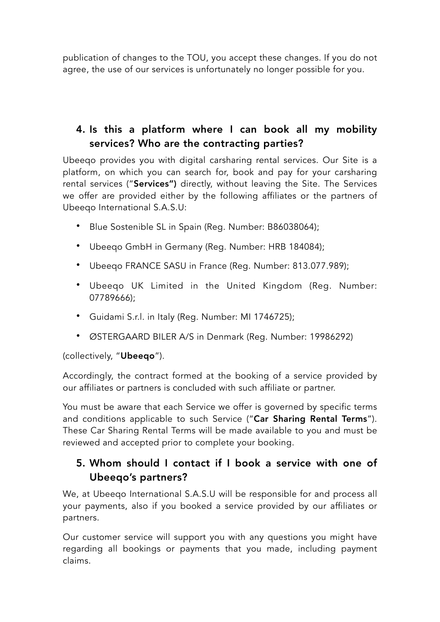publication of changes to the TOU, you accept these changes. If you do not agree, the use of our services is unfortunately no longer possible for you.

# 4. Is this a platform where I can book all my mobility services? Who are the contracting parties?

Ubeeqo provides you with digital carsharing rental services. Our Site is a platform, on which you can search for, book and pay for your carsharing rental services ("Services") directly, without leaving the Site. The Services we offer are provided either by the following affiliates or the partners of Ubeeqo International S.A.S.U:

- Blue Sostenible SL in Spain (Reg. Number: B86038064);
- Ubeeqo GmbH in Germany (Reg. Number: HRB 184084);
- Ubeeqo FRANCE SASU in France (Reg. Number: 813.077.989);
- Ubeeqo UK Limited in the United Kingdom (Reg. Number: 07789666);
- Guidami S.r.l. in Italy (Reg. Number: MI 1746725);
- ØSTERGAARD BILER A/S in Denmark (Reg. Number: 19986292)

#### (collectively, "Ubeeqo").

Accordingly, the contract formed at the booking of a service provided by our affiliates or partners is concluded with such affiliate or partner.

You must be aware that each Service we offer is governed by specific terms and conditions applicable to such Service ("Car Sharing Rental Terms"). These Car Sharing Rental Terms will be made available to you and must be reviewed and accepted prior to complete your booking.

## 5. Whom should I contact if I book a service with one of Ubeeqo's partners?

We, at Ubeeqo International S.A.S.U will be responsible for and process all your payments, also if you booked a service provided by our affiliates or partners.

Our customer service will support you with any questions you might have regarding all bookings or payments that you made, including payment claims.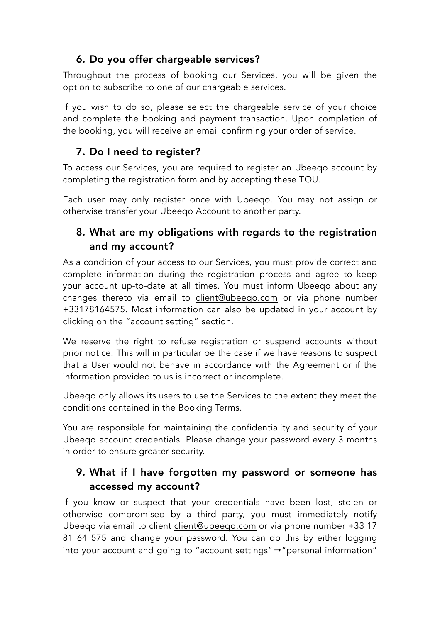# 6. Do you offer chargeable services?

Throughout the process of booking our Services, you will be given the option to subscribe to one of our chargeable services.

If you wish to do so, please select the chargeable service of your choice and complete the booking and payment transaction. Upon completion of the booking, you will receive an email confirming your order of service.

#### 7. Do I need to register?

To access our Services, you are required to register an Ubeeqo account by completing the registration form and by accepting these TOU.

Each user may only register once with Ubeeqo. You may not assign or otherwise transfer your Ubeeqo Account to another party.

## 8. What are my obligations with regards to the registration and my account?

As a condition of your access to our Services, you must provide correct and complete information during the registration process and agree to keep your account up-to-date at all times. You must inform Ubeeqo about any changes thereto via email to [client@ubeeqo.com](mailto:client@ubeeqo.com) or via phone number +33178164575. Most information can also be updated in your account by clicking on the "account setting" section.

We reserve the right to refuse registration or suspend accounts without prior notice. This will in particular be the case if we have reasons to suspect that a User would not behave in accordance with the Agreement or if the information provided to us is incorrect or incomplete.

Ubeeqo only allows its users to use the Services to the extent they meet the conditions contained in the Booking Terms.

You are responsible for maintaining the confidentiality and security of your Ubeeqo account credentials. Please change your password every 3 months in order to ensure greater security.

## 9. What if I have forgotten my password or someone has accessed my account?

If you know or suspect that your credentials have been lost, stolen or otherwise compromised by a third party, you must immediately notify Ubeeqo via email to client [client@ubeeqo.com](mailto:client@ubeeqo.com) or via phone number +33 17 81 64 575 and change your password. You can do this by either logging into your account and going to "account settings"→"personal information"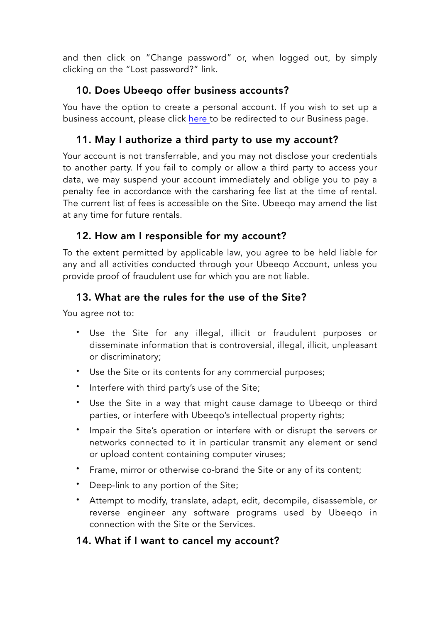and then click on "Change password" or, when logged out, by simply clicking on the "Lost password?" [link](https://www.ubeeqo.com/en/login/reset-credentials).

## 10. Does Ubeeqo offer business accounts?

You have the option to create a personal account. If you wish to set up a business account, please click [here](https://global.ubeeqo.com/en-gb/enterprise) to be redirected to our Business page.

## 11. May I authorize a third party to use my account?

Your account is not transferrable, and you may not disclose your credentials to another party. If you fail to comply or allow a third party to access your data, we may suspend your account immediately and oblige you to pay a penalty fee in accordance with the carsharing fee list at the time of rental. The current list of fees is accessible on the Site. Ubeeqo may amend the list at any time for future rentals.

## 12. How am I responsible for my account?

To the extent permitted by applicable law, you agree to be held liable for any and all activities conducted through your Ubeeqo Account, unless you provide proof of fraudulent use for which you are not liable.

## 13. What are the rules for the use of the Site?

You agree not to:

- Use the Site for any illegal, illicit or fraudulent purposes or disseminate information that is controversial, illegal, illicit, unpleasant or discriminatory;
- Use the Site or its contents for any commercial purposes;
- Interfere with third party's use of the Site;
- Use the Site in a way that might cause damage to Ubeeqo or third parties, or interfere with Ubeeqo's intellectual property rights;
- Impair the Site's operation or interfere with or disrupt the servers or networks connected to it in particular transmit any element or send or upload content containing computer viruses;
- Frame, mirror or otherwise co-brand the Site or any of its content;
- Deep-link to any portion of the Site;
- Attempt to modify, translate, adapt, edit, decompile, disassemble, or reverse engineer any software programs used by Ubeeqo in connection with the Site or the Services.

#### 14. What if I want to cancel my account?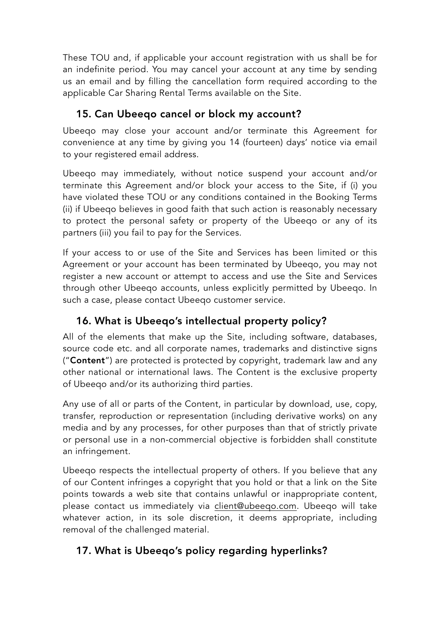These TOU and, if applicable your account registration with us shall be for an indefinite period. You may cancel your account at any time by sending us an email and by filling the cancellation form required according to the applicable Car Sharing Rental Terms available on the Site.

# 15. Can Ubeeqo cancel or block my account?

Ubeeqo may close your account and/or terminate this Agreement for convenience at any time by giving you 14 (fourteen) days' notice via email to your registered email address.

Ubeeqo may immediately, without notice suspend your account and/or terminate this Agreement and/or block your access to the Site, if (i) you have violated these TOU or any conditions contained in the Booking Terms (ii) if Ubeeqo believes in good faith that such action is reasonably necessary to protect the personal safety or property of the Ubeeqo or any of its partners (iii) you fail to pay for the Services.

If your access to or use of the Site and Services has been limited or this Agreement or your account has been terminated by Ubeeqo, you may not register a new account or attempt to access and use the Site and Services through other Ubeeqo accounts, unless explicitly permitted by Ubeeqo. In such a case, please contact Ubeeqo customer service.

# 16. What is Ubeeqo's intellectual property policy?

All of the elements that make up the Site, including software, databases, source code etc. and all corporate names, trademarks and distinctive signs ("Content") are protected is protected by copyright, trademark law and any other national or international laws. The Content is the exclusive property of Ubeeqo and/or its authorizing third parties.

Any use of all or parts of the Content, in particular by download, use, copy, transfer, reproduction or representation (including derivative works) on any media and by any processes, for other purposes than that of strictly private or personal use in a non-commercial objective is forbidden shall constitute an infringement.

Ubeeqo respects the intellectual property of others. If you believe that any of our Content infringes a copyright that you hold or that a link on the Site points towards a web site that contains unlawful or inappropriate content, please contact us immediately via [client@ubeeqo.com](mailto:client@ubeeqo.com). Ubeeqo will take whatever action, in its sole discretion, it deems appropriate, including removal of the challenged material.

# 17. What is Ubeeqo's policy regarding hyperlinks?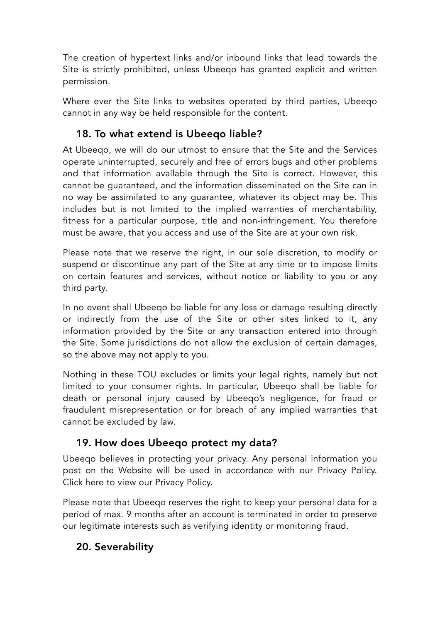The creation of hypertext links and/or inbound links that lead towards the Site is strictly prohibited, unless Ubeeqo has granted explicit and written permission.

Where ever the Site links to websites operated by third parties, Ubeeqo cannot in any way be held responsible for the content.

# 18. To what extend is Ubeeqo liable?

At Ubeeqo, we will do our utmost to ensure that the Site and the Services operate uninterrupted, securely and free of errors bugs and other problems and that information available through the Site is correct. However, this cannot be guaranteed, and the information disseminated on the Site can in no way be assimilated to any guarantee, whatever its object may be. This includes but is not limited to the implied warranties of merchantability, fitness for a particular purpose, title and non-infringement. You therefore must be aware, that you access and use of the Site are at your own risk.

Please note that we reserve the right, in our sole discretion, to modify or suspend or discontinue any part of the Site at any time or to impose limits on certain features and services, without notice or liability to you or any third party.

In no event shall Ubeeqo be liable for any loss or damage resulting directly or indirectly from the use of the Site or other sites linked to it, any information provided by the Site or any transaction entered into through the Site. Some jurisdictions do not allow the exclusion of certain damages, so the above may not apply to you.

Nothing in these TOU excludes or limits your legal rights, namely but not limited to your consumer rights. In particular, Ubeeqo shall be liable for death or personal injury caused by Ubeeqo's negligence, for fraud or fraudulent misrepresentation or for breach of any implied warranties that cannot be excluded by law.

#### 19. How does Ubeeqo protect my data?

Ubeeqo believes in protecting your privacy. Any personal information you post on the Website will be used in accordance with our Privacy Policy. Click [here](https://global.ubeeqo.com/en-gb/privacy) to view our Privacy Policy.

Please note that Ubeeqo reserves the right to keep your personal data for a period of max. 9 months after an account is terminated in order to preserve our legitimate interests such as verifying identity or monitoring fraud.

#### 20. Severability